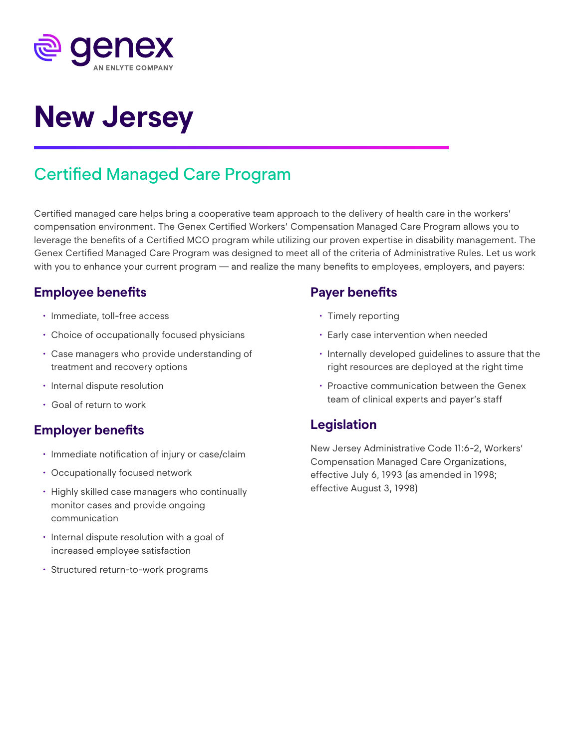

# **New Jersey**

# Certified Managed Care Program

Certified managed care helps bring a cooperative team approach to the delivery of health care in the workers' compensation environment. The Genex Certified Workers' Compensation Managed Care Program allows you to leverage the benefits of a Certified MCO program while utilizing our proven expertise in disability management. The Genex Certified Managed Care Program was designed to meet all of the criteria of Administrative Rules. Let us work with you to enhance your current program — and realize the many benefits to employees, employers, and payers:

# **Employee benefits**

- Immediate, toll-free access
- Choice of occupationally focused physicians
- Case managers who provide understanding of treatment and recovery options
- Internal dispute resolution
- Goal of return to work

#### **Employer benefits**

- Immediate notification of injury or case/claim
- Occupationally focused network
- Highly skilled case managers who continually monitor cases and provide ongoing communication
- Internal dispute resolution with a goal of increased employee satisfaction
- Structured return-to-work programs

## **Payer benefits**

- Timely reporting
- Early case intervention when needed
- Internally developed guidelines to assure that the right resources are deployed at the right time
- Proactive communication between the Genex team of clinical experts and payer's staff

# **Legislation**

New Jersey Administrative Code 11:6-2, Workers' Compensation Managed Care Organizations, effective July 6, 1993 (as amended in 1998; effective August 3, 1998)